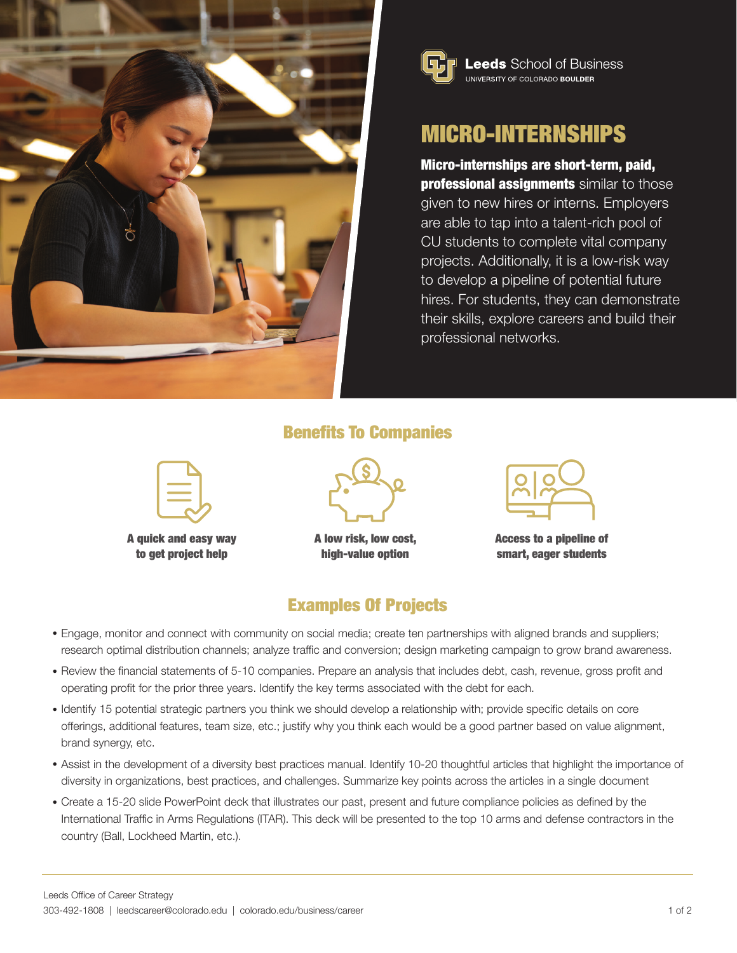



# MICRO-INTERNSHIPS

Micro-internships are short-term, paid, **professional assignments** similar to those given to new hires or interns. Employers are able to tap into a talent-rich pool of CU students to complete vital company projects. Additionally, it is a low-risk way to develop a pipeline of potential future hires. For students, they can demonstrate their skills, explore careers and build their professional networks.

#### Benefits To Companies



A quick and easy way to get project help



A low risk, low cost, high-value option

Access to a pipeline of smart, eager students

#### Examples Of Projects

- Engage, monitor and connect with community on social media; create ten partnerships with aligned brands and suppliers; research optimal distribution channels; analyze traffic and conversion; design marketing campaign to grow brand awareness.
- Review the financial statements of 5-10 companies. Prepare an analysis that includes debt, cash, revenue, gross profit and operating profit for the prior three years. Identify the key terms associated with the debt for each.
- Identify 15 potential strategic partners you think we should develop a relationship with; provide specific details on core offerings, additional features, team size, etc.; justify why you think each would be a good partner based on value alignment, brand synergy, etc.
- Assist in the development of a diversity best practices manual. Identify 10-20 thoughtful articles that highlight the importance of diversity in organizations, best practices, and challenges. Summarize key points across the articles in a single document
- Create a 15-20 slide PowerPoint deck that illustrates our past, present and future compliance policies as defined by the International Traffic in Arms Regulations (ITAR). This deck will be presented to the top 10 arms and defense contractors in the country (Ball, Lockheed Martin, etc.).